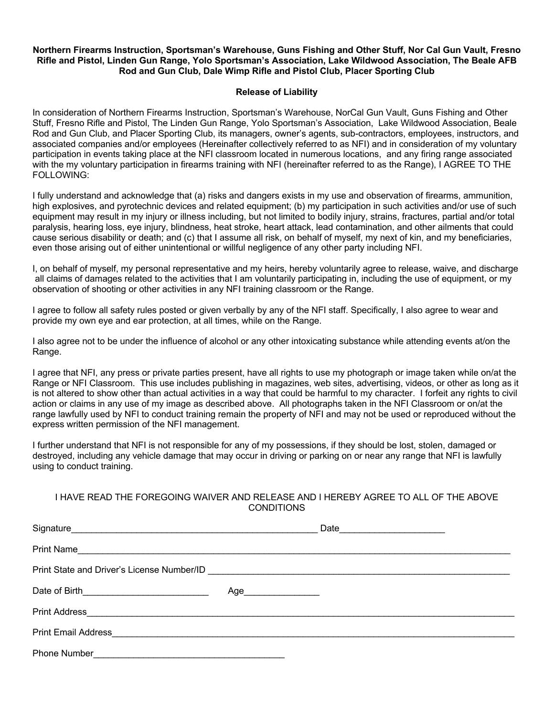## **Northern Firearms Instruction, Sportsman's Warehouse, Guns Fishing and Other Stuff, Nor Cal Gun Vault, Fresno Rifle and Pistol, Linden Gun Range, Yolo Sportsman's Association, Lake Wildwood Association, The Beale AFB Rod and Gun Club, Dale Wimp Rifle and Pistol Club, Placer Sporting Club**

## **Release of Liability**

In consideration of Northern Firearms Instruction, Sportsman's Warehouse, NorCal Gun Vault, Guns Fishing and Other Stuff, Fresno Rifle and Pistol, The Linden Gun Range, Yolo Sportsman's Association, Lake Wildwood Association, Beale Rod and Gun Club, and Placer Sporting Club, its managers, owner's agents, sub-contractors, employees, instructors, and associated companies and/or employees (Hereinafter collectively referred to as NFI) and in consideration of my voluntary participation in events taking place at the NFI classroom located in numerous locations, and any firing range associated with the my voluntary participation in firearms training with NFI (hereinafter referred to as the Range), I AGREE TO THE FOLLOWING:

I fully understand and acknowledge that (a) risks and dangers exists in my use and observation of firearms, ammunition, high explosives, and pyrotechnic devices and related equipment; (b) my participation in such activities and/or use of such equipment may result in my injury or illness including, but not limited to bodily injury, strains, fractures, partial and/or total paralysis, hearing loss, eye injury, blindness, heat stroke, heart attack, lead contamination, and other ailments that could cause serious disability or death; and (c) that I assume all risk, on behalf of myself, my next of kin, and my beneficiaries, even those arising out of either unintentional or willful negligence of any other party including NFI.

I, on behalf of myself, my personal representative and my heirs, hereby voluntarily agree to release, waive, and discharge all claims of damages related to the activities that I am voluntarily participating in, including the use of equipment, or my observation of shooting or other activities in any NFI training classroom or the Range.

I agree to follow all safety rules posted or given verbally by any of the NFI staff. Specifically, I also agree to wear and provide my own eye and ear protection, at all times, while on the Range.

I also agree not to be under the influence of alcohol or any other intoxicating substance while attending events at/on the Range.

I agree that NFI, any press or private parties present, have all rights to use my photograph or image taken while on/at the Range or NFI Classroom. This use includes publishing in magazines, web sites, advertising, videos, or other as long as it is not altered to show other than actual activities in a way that could be harmful to my character. I forfeit any rights to civil action or claims in any use of my image as described above. All photographs taken in the NFI Classroom or on/at the range lawfully used by NFI to conduct training remain the property of NFI and may not be used or reproduced without the express written permission of the NFI management.

I further understand that NFI is not responsible for any of my possessions, if they should be lost, stolen, damaged or destroyed, including any vehicle damage that may occur in driving or parking on or near any range that NFI is lawfully using to conduct training.

## I HAVE READ THE FOREGOING WAIVER AND RELEASE AND I HEREBY AGREE TO ALL OF THE ABOVE CONDITIONS

| Print Name |     |  |  |  |
|------------|-----|--|--|--|
|            |     |  |  |  |
|            | Age |  |  |  |
|            |     |  |  |  |
|            |     |  |  |  |
|            |     |  |  |  |